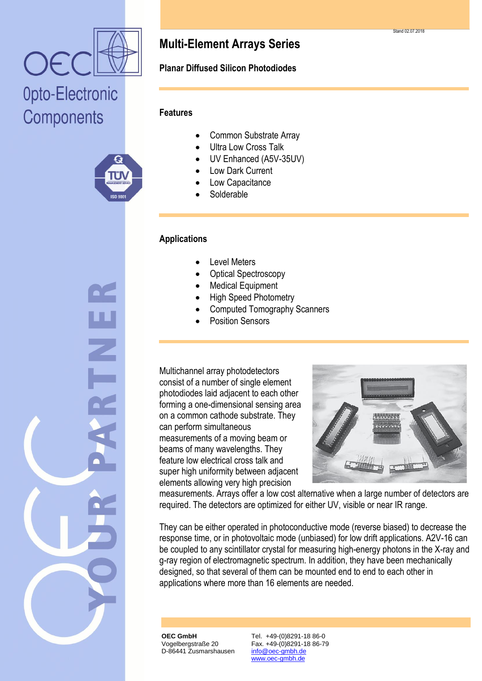

# Opto-Electronic Components



## **Multi-Element Arrays Series**

#### **Planar Diffused Silicon Photodiodes**

#### **Features**

- Common Substrate Array
- Ultra Low Cross Talk
- UV Enhanced (A5V-35UV)
- Low Dark Current
- Low Capacitance
- Solderable

#### **Applications**

- Level Meters
- Optical Spectroscopy
- Medical Equipment
- High Speed Photometry
- Computed Tomography Scanners
- Position Sensors

Multichannel array photodetectors consist of a number of single element photodiodes laid adjacent to each other forming a one-dimensional sensing area on a common cathode substrate. They can perform simultaneous measurements of a moving beam or beams of many wavelengths. They feature low electrical cross talk and super high uniformity between adjacent elements allowing very high precision



measurements. Arrays offer a low cost alternative when a large number of detectors are required. The detectors are optimized for either UV, visible or near IR range.

They can be either operated in photoconductive mode (reverse biased) to decrease the response time, or in photovoltaic mode (unbiased) for low drift applications. A2V-16 can be coupled to any scintillator crystal for measuring high-energy photons in the X-ray and g-ray region of electromagnetic spectrum. In addition, they have been mechanically designed, so that several of them can be mounted end to end to each other in applications where more than 16 elements are needed.

**OEC GmbH** Vogelbergstraße 20 D-86441 Zusmarshausen Tel. +49-(0)8291-18 86-0 Fax. +49-(0)8291-18 86-79 info@oec-gmbh.de www.oec-gmbh.de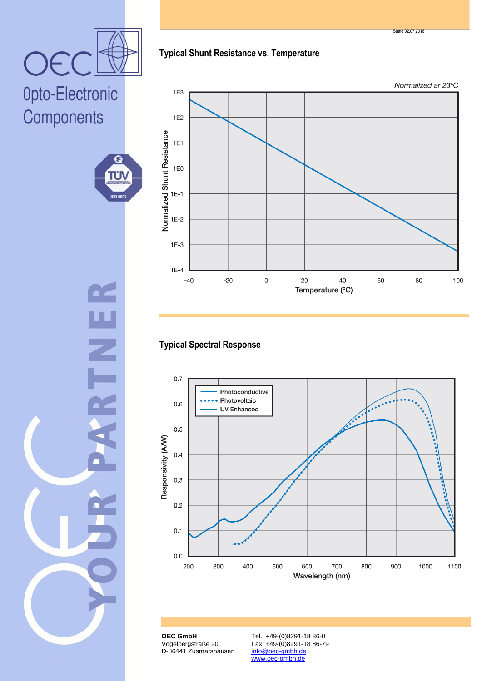**OEC GmbH** Vogelbergstraße 20 D-86441 Zusmarshausen

Tel. +49-(0)8291-18 86-0 Fax. +49-(0)8291-18 86-79 info@oec-gmbh.de www.oec-gmbh.de

## **Typical Shunt Resistance vs. Temperature**



### **Typical Spectral Response**





TÜ

**ISO 900** 

OE



Stand 02.07.2018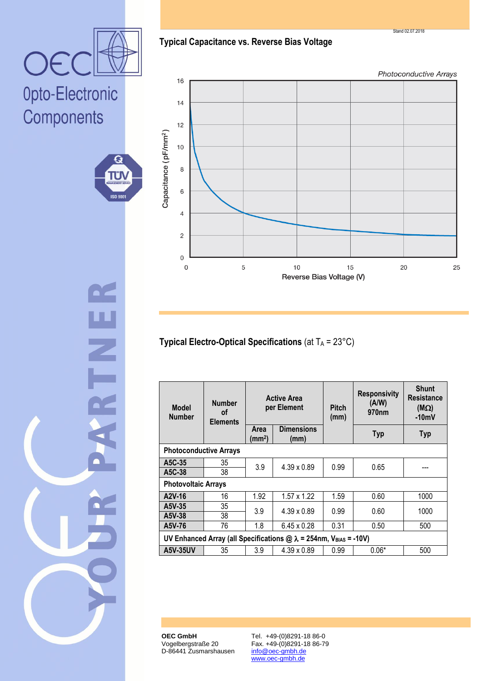

Opto-Electronic Components



**Typical Capacitance vs. Reverse Bias Voltage**

Photoconductive Arrays



**Typical Electro-Optical Specifications** (at T<sub>A</sub> = 23°C)

| <b>Model</b><br><b>Number</b>                                             | <b>Number</b><br><b>of</b><br><b>Elements</b> | <b>Active Area</b><br>per Element |                           | <b>Pitch</b><br>(mm) | <b>Responsivity</b><br>(A/W)<br>970 <sub>nm</sub> | <b>Shunt</b><br><b>Resistance</b><br>$(M\Omega)$<br>$-10mV$ |  |
|---------------------------------------------------------------------------|-----------------------------------------------|-----------------------------------|---------------------------|----------------------|---------------------------------------------------|-------------------------------------------------------------|--|
|                                                                           |                                               | Area<br>(mm <sup>2</sup> )        | <b>Dimensions</b><br>(mm) |                      | <b>Typ</b>                                        | <b>Typ</b>                                                  |  |
| <b>Photoconductive Arrays</b>                                             |                                               |                                   |                           |                      |                                                   |                                                             |  |
| A5C-35                                                                    | 35                                            | 3.9                               | $4.39 \times 0.89$        | 0.99                 | 0.65                                              |                                                             |  |
| A5C-38                                                                    | 38                                            |                                   |                           |                      |                                                   |                                                             |  |
| <b>Photovoltaic Arrays</b>                                                |                                               |                                   |                           |                      |                                                   |                                                             |  |
| A2V-16                                                                    | 16                                            | 1.92                              | $1.57 \times 1.22$        | 1.59                 | 0.60                                              | 1000                                                        |  |
| A5V-35                                                                    | 35                                            | 3.9                               | $4.39 \times 0.89$        | 0.99                 | 0.60                                              | 1000                                                        |  |
| A5V-38                                                                    | 38                                            |                                   |                           |                      |                                                   |                                                             |  |
| A5V-76                                                                    | 76                                            | 1.8                               | $6.45 \times 0.28$        | 0.31                 | 0.50                                              | 500                                                         |  |
| UV Enhanced Array (all Specifications $@ \lambda = 254$ nm, VBIAS = -10V) |                                               |                                   |                           |                      |                                                   |                                                             |  |
| <b>A5V-35UV</b>                                                           | 35                                            | 3.9                               | $4.39 \times 0.89$        | 0.99                 | $0.06*$                                           | 500                                                         |  |

**OEC GmbH** Vogelbergstraße 20 D-86441 Zusmarshausen

Tel. +49-(0)8291-18 86-0 Fax. +49-(0)8291-18 86-79 info@oec-gmbh.de www.oec-gmbh.de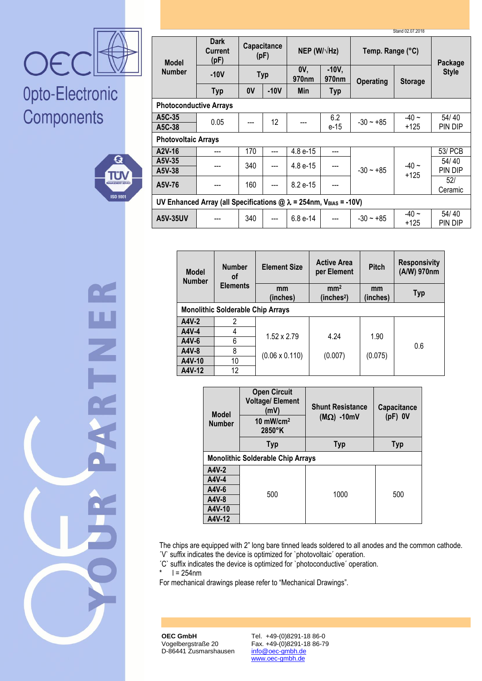

# Opto-Electronic Components



ENNE

| Stand 02.07.2018                                                          |                                       |                     |        |                          |                              |                  |                   |                  |
|---------------------------------------------------------------------------|---------------------------------------|---------------------|--------|--------------------------|------------------------------|------------------|-------------------|------------------|
| <b>Model</b><br><b>Number</b>                                             | <b>Dark</b><br><b>Current</b><br>(pF) | Capacitance<br>(pF) |        | NEP (W/ $\sqrt{Hz}$ )    |                              | Temp. Range (°C) |                   | Package          |
|                                                                           | $-10V$                                | <b>Typ</b>          |        | OV.<br>970 <sub>nm</sub> | $-10V,$<br>970 <sub>nm</sub> | <b>Operating</b> | <b>Storage</b>    | <b>Style</b>     |
|                                                                           | <b>Typ</b>                            | 0V                  | $-10V$ | <b>Min</b>               | <b>Typ</b>                   |                  |                   |                  |
| <b>Photoconductive Arrays</b>                                             |                                       |                     |        |                          |                              |                  |                   |                  |
| A5C-35<br>A5C-38                                                          | 0.05                                  |                     | 12     |                          | 6.2<br>e-15                  | $-30 - +85$      | $-40 -$<br>+125   | 54/40<br>PIN DIP |
| <b>Photovoltaic Arrays</b>                                                |                                       |                     |        |                          |                              |                  |                   |                  |
| A2V-16                                                                    |                                       | 170                 | ---    | 4.8 e-15                 | ---                          |                  | $-40 -$<br>$+125$ | 53/ PCB          |
| A5V-35<br>A5V-38                                                          |                                       | 340                 | ---    | 4.8 e-15                 |                              | $-30 - +85$      |                   | 54/40<br>PIN DIP |
| A5V-76                                                                    |                                       | 160                 | ---    | 8.2 e-15                 |                              |                  |                   | 52/<br>Ceramic   |
| UV Enhanced Array (all Specifications $@ \lambda = 254$ nm, VBIAS = -10V) |                                       |                     |        |                          |                              |                  |                   |                  |
| A5V-35UV                                                                  |                                       | 340                 | ---    | $6.8 e-14$               |                              | $-30 - +85$      | $-40 -$<br>$+125$ | 54/40<br>PIN DIP |

| <b>Model</b><br><b>Number</b>            | <b>Number</b><br>οf | <b>Element Size</b>   | <b>Active Area</b><br>per Element         | <b>Pitch</b>   | <b>Responsivity</b><br>(A/W) 970nm |  |  |  |
|------------------------------------------|---------------------|-----------------------|-------------------------------------------|----------------|------------------------------------|--|--|--|
|                                          | <b>Elements</b>     | mm<br>(inches)        | mm <sup>2</sup><br>(inches <sup>2</sup> ) | mm<br>(inches) | <b>Typ</b>                         |  |  |  |
| <b>Monolithic Solderable Chip Arrays</b> |                     |                       |                                           |                |                                    |  |  |  |
| A4V-2                                    | 2                   |                       |                                           |                |                                    |  |  |  |
| A4V-4                                    | 4                   | $1.52 \times 2.79$    | 4.24                                      | 1.90           |                                    |  |  |  |
| A4V-6                                    | 6                   |                       |                                           |                | 0.6                                |  |  |  |
| A4V-8                                    | 8                   | $(0.06 \times 0.110)$ | (0.007)                                   | (0.075)        |                                    |  |  |  |
| A4V-10                                   | 10                  |                       |                                           |                |                                    |  |  |  |
| A4V-12                                   | 12                  |                       |                                           |                |                                    |  |  |  |

| <b>Model</b><br><b>Number</b> | <b>Open Circuit</b><br><b>Voltage/Element</b><br>(mV)<br>10 $mW/cm^2$<br>$2850^\circ K$ | <b>Shunt Resistance</b><br>$(M\Omega)$ -10mV | Capacitance<br>$(pF)$ OV |  |  |  |  |
|-------------------------------|-----------------------------------------------------------------------------------------|----------------------------------------------|--------------------------|--|--|--|--|
|                               | <b>Typ</b><br><b>Typ</b>                                                                |                                              | <b>Typ</b>               |  |  |  |  |
|                               | <b>Monolithic Solderable Chip Arrays</b>                                                |                                              |                          |  |  |  |  |
| A4V-2                         |                                                                                         |                                              |                          |  |  |  |  |
| A4V-4                         |                                                                                         |                                              |                          |  |  |  |  |
| A4V-6                         | 500                                                                                     | 1000                                         | 500                      |  |  |  |  |
| A4V-8                         |                                                                                         |                                              |                          |  |  |  |  |
| A4V-10                        |                                                                                         |                                              |                          |  |  |  |  |
| A4V-12                        |                                                                                         |                                              |                          |  |  |  |  |

The chips are equipped with 2" long bare tinned leads soldered to all anodes and the common cathode. ´V` suffix indicates the device is optimized for `photovoltaic´ operation.

The contraction is optimized for `photoconductive' operation.<br> $\frac{1}{x} = 254$ nm

 $l = 254$ nm

For mechanical drawings please refer to "Mechanical Drawings".

**OEC GmbH** Vogelbergstraße 20 D-86441 Zusmarshausen

Tel. +49-(0)8291-18 86-0 Fax. +49-(0)8291-18 86-79 info@oec-gmbh.de www.oec-gmbh.de